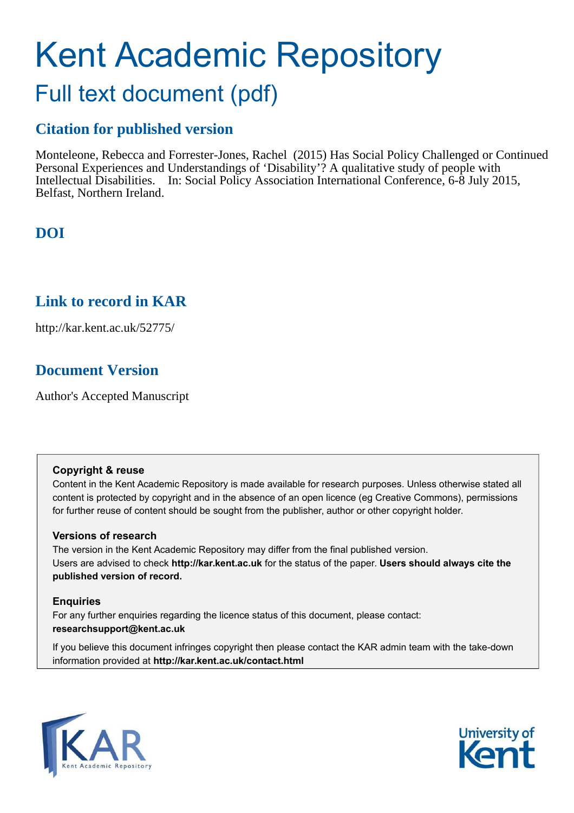# Kent Academic Repository Full text document (pdf)

# **Citation for published version**

Monteleone, Rebecca and Forrester-Jones, Rachel (2015) Has Social Policy Challenged or Continued Personal Experiences and Understandings of 'Disability'? A qualitative study of people with Intellectual Disabilities. In: Social Policy Association International Conference, 6-8 July 2015, Belfast, Northern Ireland.

# **DOI**

# **Link to record in KAR**

http://kar.kent.ac.uk/52775/

# **Document Version**

Author's Accepted Manuscript

#### **Copyright & reuse**

Content in the Kent Academic Repository is made available for research purposes. Unless otherwise stated all content is protected by copyright and in the absence of an open licence (eg Creative Commons), permissions for further reuse of content should be sought from the publisher, author or other copyright holder.

#### **Versions of research**

The version in the Kent Academic Repository may differ from the final published version. Users are advised to check **http://kar.kent.ac.uk** for the status of the paper. **Users should always cite the published version of record.**

#### **Enquiries**

For any further enquiries regarding the licence status of this document, please contact: **researchsupport@kent.ac.uk**

If you believe this document infringes copyright then please contact the KAR admin team with the take-down information provided at **http://kar.kent.ac.uk/contact.html**



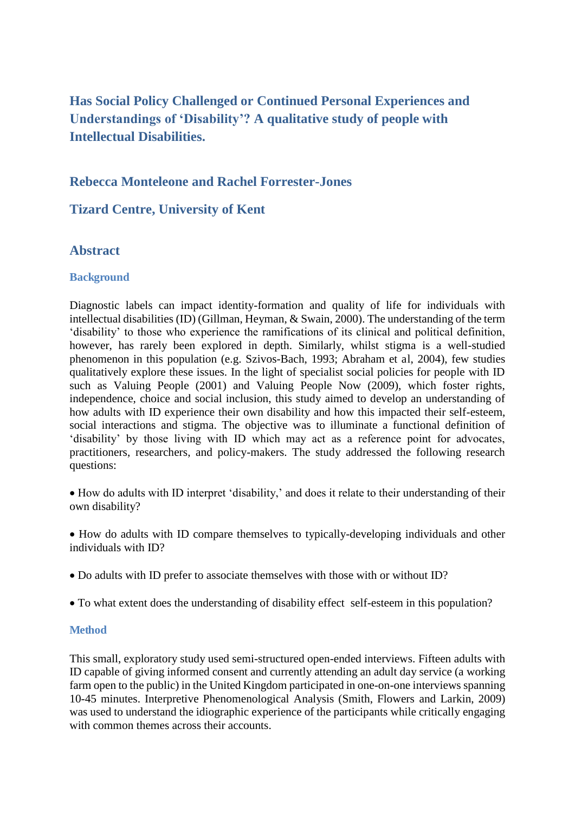# **Has Social Policy Challenged or Continued Personal Experiences and Understandings of 'Disability'? A qualitative study of people with Intellectual Disabilities.**

# **Rebecca Monteleone and Rachel Forrester-Jones**

# **Tizard Centre, University of Kent**

# **Abstract**

#### **Background**

Diagnostic labels can impact identity-formation and quality of life for individuals with intellectual disabilities (ID) (Gillman, Heyman, & Swain, 2000). The understanding of the term 'disability' to those who experience the ramifications of its clinical and political definition, however, has rarely been explored in depth. Similarly, whilst stigma is a well-studied phenomenon in this population (e.g. Szivos-Bach, 1993; Abraham et al, 2004), few studies qualitatively explore these issues. In the light of specialist social policies for people with ID such as Valuing People (2001) and Valuing People Now (2009), which foster rights, independence, choice and social inclusion, this study aimed to develop an understanding of how adults with ID experience their own disability and how this impacted their self-esteem, social interactions and stigma. The objective was to illuminate a functional definition of 'disability' by those living with ID which may act as a reference point for advocates, practitioners, researchers, and policy-makers. The study addressed the following research questions:

• How do adults with ID interpret 'disability,' and does it relate to their understanding of their own disability?

 How do adults with ID compare themselves to typically-developing individuals and other individuals with ID?

- Do adults with ID prefer to associate themselves with those with or without ID?
- To what extent does the understanding of disability effect self-esteem in this population?

#### **Method**

This small, exploratory study used semi-structured open-ended interviews. Fifteen adults with ID capable of giving informed consent and currently attending an adult day service (a working farm open to the public) in the United Kingdom participated in one-on-one interviews spanning 10-45 minutes. Interpretive Phenomenological Analysis (Smith, Flowers and Larkin, 2009) was used to understand the idiographic experience of the participants while critically engaging with common themes across their accounts.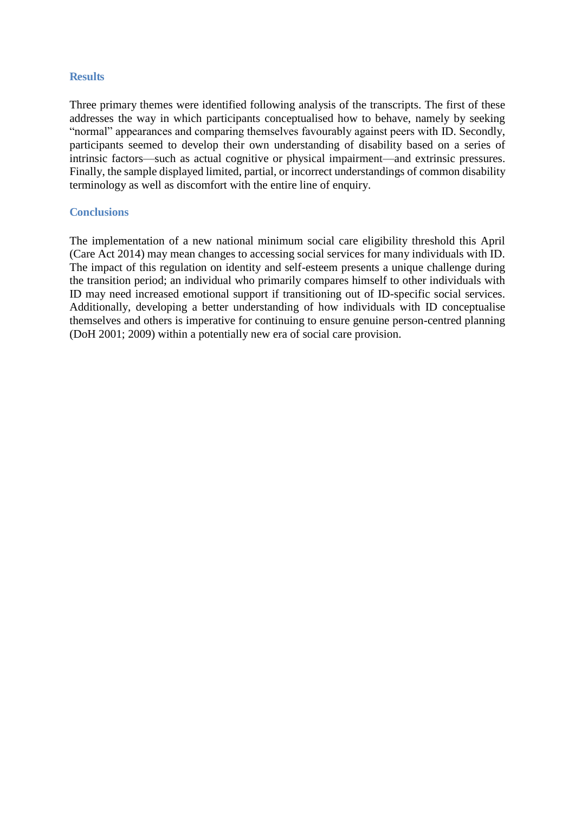#### **Results**

Three primary themes were identified following analysis of the transcripts. The first of these addresses the way in which participants conceptualised how to behave, namely by seeking "normal" appearances and comparing themselves favourably against peers with ID. Secondly, participants seemed to develop their own understanding of disability based on a series of intrinsic factors—such as actual cognitive or physical impairment—and extrinsic pressures. Finally, the sample displayed limited, partial, or incorrect understandings of common disability terminology as well as discomfort with the entire line of enquiry.

#### **Conclusions**

The implementation of a new national minimum social care eligibility threshold this April (Care Act 2014) may mean changes to accessing social services for many individuals with ID. The impact of this regulation on identity and self-esteem presents a unique challenge during the transition period; an individual who primarily compares himself to other individuals with ID may need increased emotional support if transitioning out of ID-specific social services. Additionally, developing a better understanding of how individuals with ID conceptualise themselves and others is imperative for continuing to ensure genuine person-centred planning (DoH 2001; 2009) within a potentially new era of social care provision.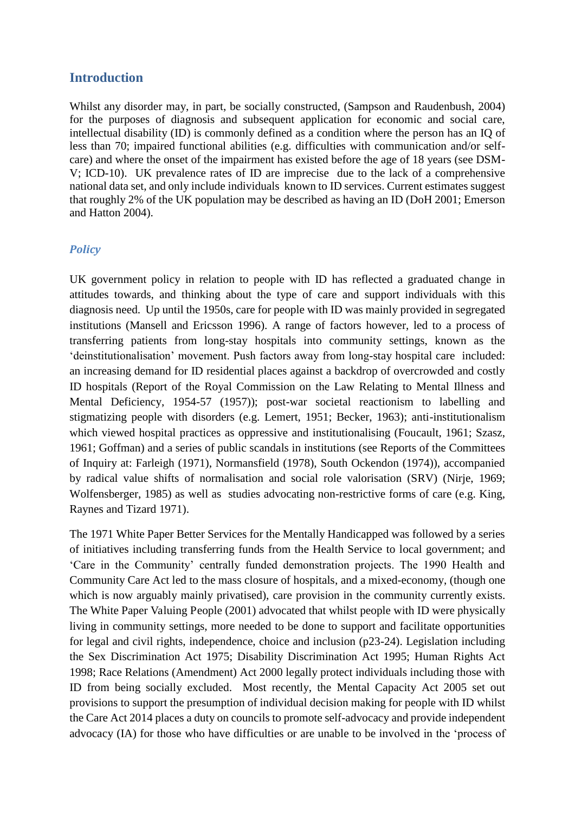# **Introduction**

Whilst any disorder may, in part, be socially constructed, (Sampson and Raudenbush, 2004) for the purposes of diagnosis and subsequent application for economic and social care, intellectual disability (ID) is commonly defined as a condition where the person has an IQ of less than 70; impaired functional abilities (e.g. difficulties with communication and/or selfcare) and where the onset of the impairment has existed before the age of 18 years (see DSM-V; ICD-10). UK prevalence rates of ID are imprecise due to the lack of a comprehensive national data set, and only include individuals known to ID services. Current estimates suggest that roughly 2% of the UK population may be described as having an ID (DoH 2001; Emerson and Hatton 2004).

#### *Policy*

UK government policy in relation to people with ID has reflected a graduated change in attitudes towards, and thinking about the type of care and support individuals with this diagnosis need. Up until the 1950s, care for people with ID was mainly provided in segregated institutions (Mansell and Ericsson 1996). A range of factors however, led to a process of transferring patients from long-stay hospitals into community settings, known as the 'deinstitutionalisation' movement. Push factors away from long-stay hospital care included: an increasing demand for ID residential places against a backdrop of overcrowded and costly ID hospitals (Report of the Royal Commission on the Law Relating to Mental Illness and Mental Deficiency, 1954-57 (1957)); post-war societal reactionism to labelling and stigmatizing people with disorders (e.g. Lemert, 1951; Becker, 1963); anti-institutionalism which viewed hospital practices as oppressive and institutionalising (Foucault, 1961; Szasz, 1961; Goffman) and a series of public scandals in institutions (see Reports of the Committees of Inquiry at: Farleigh (1971), Normansfield (1978), South Ockendon (1974)), accompanied by radical value shifts of normalisation and social role valorisation (SRV) (Nirje, 1969; Wolfensberger, 1985) as well as studies advocating non-restrictive forms of care (e.g. King, Raynes and Tizard 1971).

The 1971 White Paper Better Services for the Mentally Handicapped was followed by a series of initiatives including transferring funds from the Health Service to local government; and 'Care in the Community' centrally funded demonstration projects. The 1990 Health and Community Care Act led to the mass closure of hospitals, and a mixed-economy, (though one which is now arguably mainly privatised), care provision in the community currently exists. The White Paper Valuing People (2001) advocated that whilst people with ID were physically living in community settings, more needed to be done to support and facilitate opportunities for legal and civil rights, independence, choice and inclusion (p23-24). Legislation including the Sex Discrimination Act 1975; Disability Discrimination Act 1995; Human Rights Act 1998; Race Relations (Amendment) Act 2000 legally protect individuals including those with ID from being socially excluded. Most recently, the Mental Capacity Act 2005 set out provisions to support the presumption of individual decision making for people with ID whilst the Care Act 2014 places a duty on councils to promote self-advocacy and provide independent advocacy (IA) for those who have difficulties or are unable to be involved in the 'process of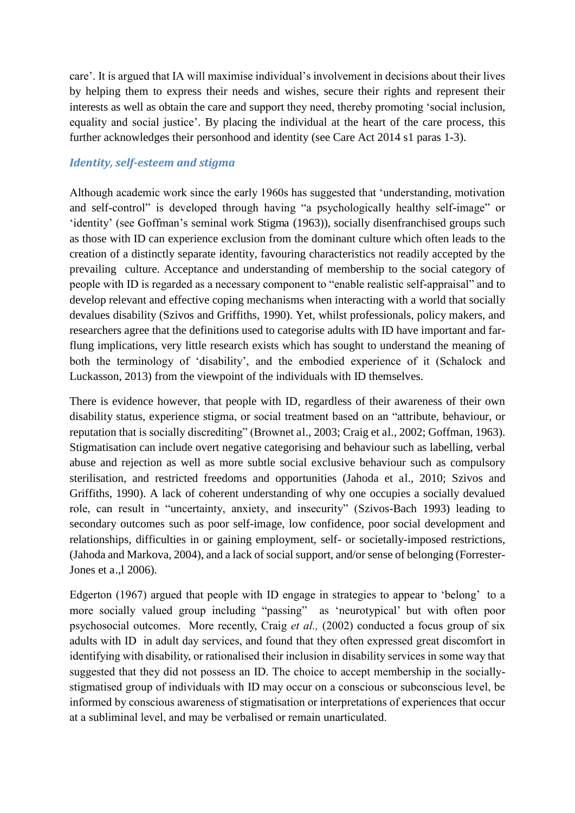care'. It is argued that IA will maximise individual's involvement in decisions about their lives by helping them to express their needs and wishes, secure their rights and represent their interests as well as obtain the care and support they need, thereby promoting 'social inclusion, equality and social justice'. By placing the individual at the heart of the care process, this further acknowledges their personhood and identity (see Care Act 2014 s1 paras 1-3).

## *Identity, self-esteem and stigma*

Although academic work since the early 1960s has suggested that 'understanding, motivation and self-control" is developed through having "a psychologically healthy self-image" or 'identity' (see Goffman's seminal work Stigma (1963)), socially disenfranchised groups such as those with ID can experience exclusion from the dominant culture which often leads to the creation of a distinctly separate identity, favouring characteristics not readily accepted by the prevailing culture. Acceptance and understanding of membership to the social category of people with ID is regarded as a necessary component to "enable realistic self-appraisal" and to develop relevant and effective coping mechanisms when interacting with a world that socially devalues disability (Szivos and Griffiths, 1990). Yet, whilst professionals, policy makers, and researchers agree that the definitions used to categorise adults with ID have important and farflung implications, very little research exists which has sought to understand the meaning of both the terminology of 'disability', and the embodied experience of it (Schalock and Luckasson, 2013) from the viewpoint of the individuals with ID themselves.

There is evidence however, that people with ID, regardless of their awareness of their own disability status, experience stigma, or social treatment based on an "attribute, behaviour, or reputation that is socially discrediting" (Brownet al., 2003; Craig et al., 2002; Goffman, 1963). Stigmatisation can include overt negative categorising and behaviour such as labelling, verbal abuse and rejection as well as more subtle social exclusive behaviour such as compulsory sterilisation, and restricted freedoms and opportunities (Jahoda et al., 2010; Szivos and Griffiths, 1990). A lack of coherent understanding of why one occupies a socially devalued role, can result in "uncertainty, anxiety, and insecurity" (Szivos-Bach 1993) leading to secondary outcomes such as poor self-image, low confidence, poor social development and relationships, difficulties in or gaining employment, self- or societally-imposed restrictions, (Jahoda and Markova, 2004), and a lack of social support, and/or sense of belonging (Forrester-Jones et a.,l 2006).

Edgerton (1967) argued that people with ID engage in strategies to appear to 'belong' to a more socially valued group including "passing" as 'neurotypical' but with often poor psychosocial outcomes. More recently, Craig *et al.,* (2002) conducted a focus group of six adults with ID in adult day services, and found that they often expressed great discomfort in identifying with disability, or rationalised their inclusion in disability services in some way that suggested that they did not possess an ID. The choice to accept membership in the sociallystigmatised group of individuals with ID may occur on a conscious or subconscious level, be informed by conscious awareness of stigmatisation or interpretations of experiences that occur at a subliminal level, and may be verbalised or remain unarticulated.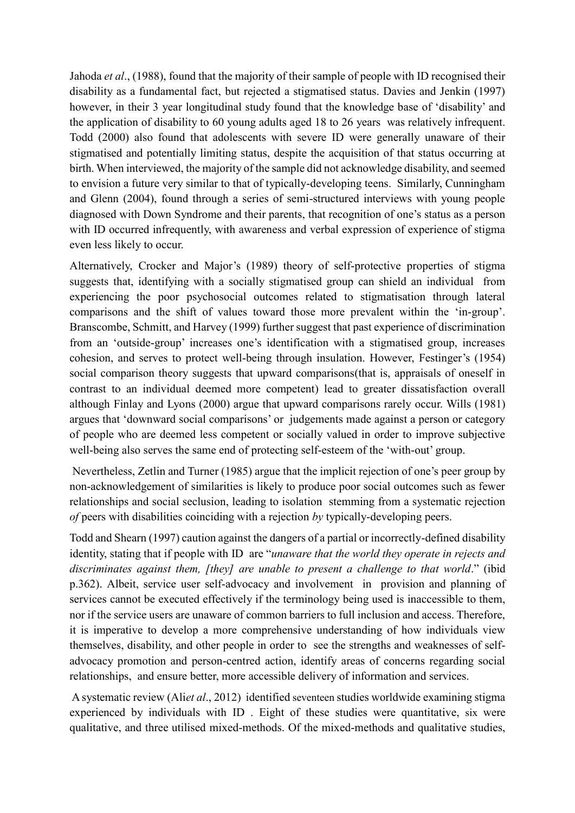Jahoda *et al*., (1988), found that the majority of their sample of people with ID recognised their disability as a fundamental fact, but rejected a stigmatised status. Davies and Jenkin (1997) however, in their 3 year longitudinal study found that the knowledge base of 'disability' and the application of disability to 60 young adults aged 18 to 26 years was relatively infrequent. Todd (2000) also found that adolescents with severe ID were generally unaware of their stigmatised and potentially limiting status, despite the acquisition of that status occurring at birth. When interviewed, the majority of the sample did not acknowledge disability, and seemed to envision a future very similar to that of typically-developing teens. Similarly, Cunningham and Glenn (2004), found through a series of semi-structured interviews with young people diagnosed with Down Syndrome and their parents, that recognition of one's status as a person with ID occurred infrequently, with awareness and verbal expression of experience of stigma even less likely to occur.

Alternatively, Crocker and Major's (1989) theory of self-protective properties of stigma suggests that, identifying with a socially stigmatised group can shield an individual from experiencing the poor psychosocial outcomes related to stigmatisation through lateral comparisons and the shift of values toward those more prevalent within the 'in-group'. Branscombe, Schmitt, and Harvey (1999) further suggest that past experience of discrimination from an 'outside-group' increases one's identification with a stigmatised group, increases cohesion, and serves to protect well-being through insulation. However, Festinger's (1954) social comparison theory suggests that upward comparisons(that is, appraisals of oneself in contrast to an individual deemed more competent) lead to greater dissatisfaction overall although Finlay and Lyons (2000) argue that upward comparisons rarely occur. Wills (1981) argues that 'downward social comparisons' or judgements made against a person or category of people who are deemed less competent or socially valued in order to improve subjective well-being also serves the same end of protecting self-esteem of the 'with-out' group.

 Nevertheless, Zetlin and Turner (1985) argue that the implicit rejection of one's peer group by non-acknowledgement of similarities is likely to produce poor social outcomes such as fewer relationships and social seclusion, leading to isolation stemming from a systematic rejection *of* peers with disabilities coinciding with a rejection *by* typically-developing peers.

Todd and Shearn (1997) caution against the dangers of a partial or incorrectly-defined disability identity, stating that if people with ID are "*unaware that the world they operate in rejects and discriminates against them, [they] are unable to present a challenge to that world*." (ibid p.362). Albeit, service user self-advocacy and involvement in provision and planning of services cannot be executed effectively if the terminology being used is inaccessible to them, nor if the service users are unaware of common barriers to full inclusion and access. Therefore, it is imperative to develop a more comprehensive understanding of how individuals view themselves, disability, and other people in order to see the strengths and weaknesses of selfadvocacy promotion and person-centred action, identify areas of concerns regarding social relationships, and ensure better, more accessible delivery of information and services.

 A systematic review (Ali*et al*., 2012) identified seventeen studies worldwide examining stigma experienced by individuals with ID . Eight of these studies were quantitative, six were qualitative, and three utilised mixed-methods. Of the mixed-methods and qualitative studies,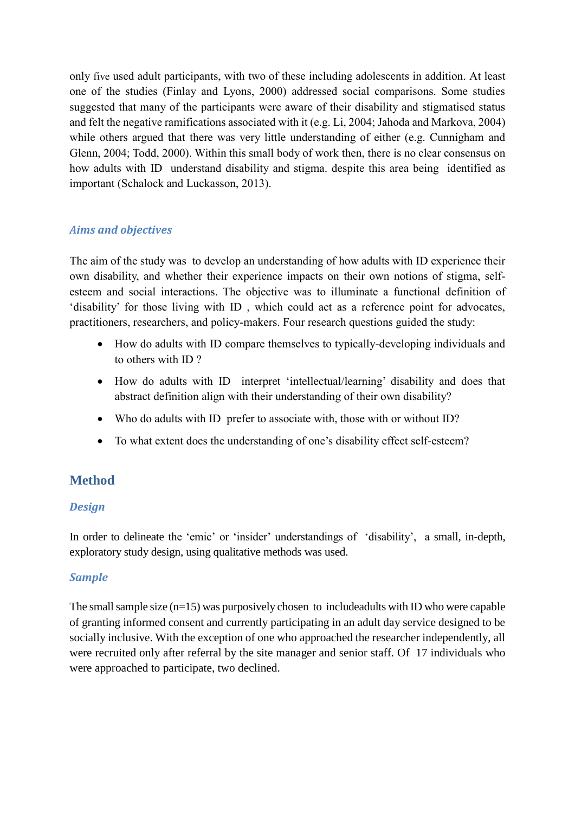only five used adult participants, with two of these including adolescents in addition. At least one of the studies (Finlay and Lyons, 2000) addressed social comparisons. Some studies suggested that many of the participants were aware of their disability and stigmatised status and felt the negative ramifications associated with it (e.g. Li, 2004; Jahoda and Markova, 2004) while others argued that there was very little understanding of either (e.g. Cunnigham and Glenn, 2004; Todd, 2000). Within this small body of work then, there is no clear consensus on how adults with ID understand disability and stigma. despite this area being identified as important (Schalock and Luckasson, 2013).

# *Aims and objectives*

The aim of the study was to develop an understanding of how adults with ID experience their own disability, and whether their experience impacts on their own notions of stigma, selfesteem and social interactions. The objective was to illuminate a functional definition of 'disability' for those living with ID , which could act as a reference point for advocates, practitioners, researchers, and policy-makers. Four research questions guided the study:

- How do adults with ID compare themselves to typically-developing individuals and to others with ID ?
- How do adults with ID interpret 'intellectual/learning' disability and does that abstract definition align with their understanding of their own disability?
- Who do adults with ID prefer to associate with, those with or without ID?
- To what extent does the understanding of one's disability effect self-esteem?

# **Method**

# *Design*

In order to delineate the 'emic' or 'insider' understandings of 'disability', a small, in-depth, exploratory study design, using qualitative methods was used.

# *Sample*

The small sample size (n=15) was purposively chosen to includeadults with ID who were capable of granting informed consent and currently participating in an adult day service designed to be socially inclusive. With the exception of one who approached the researcher independently, all were recruited only after referral by the site manager and senior staff. Of 17 individuals who were approached to participate, two declined.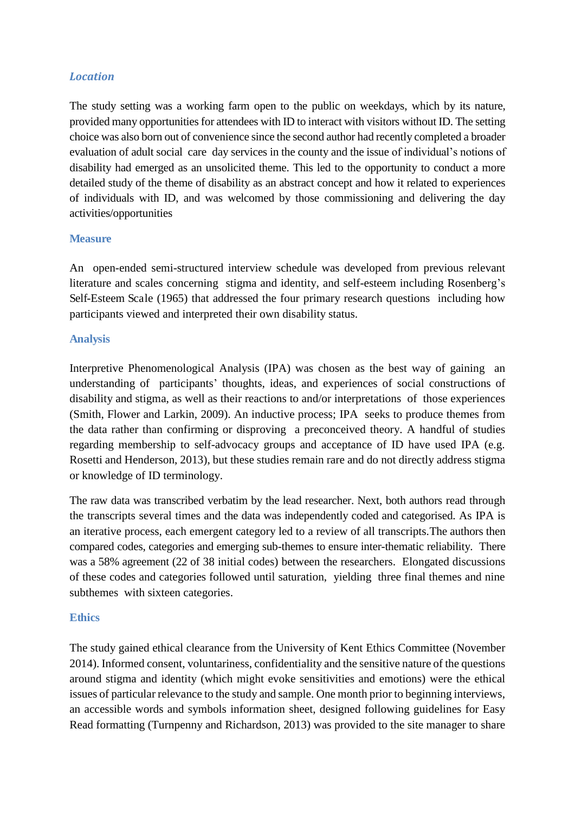### *Location*

The study setting was a working farm open to the public on weekdays, which by its nature, provided many opportunities for attendees with ID to interact with visitors without ID. The setting choice was also born out of convenience since the second author had recently completed a broader evaluation of adult social care day services in the county and the issue of individual's notions of disability had emerged as an unsolicited theme. This led to the opportunity to conduct a more detailed study of the theme of disability as an abstract concept and how it related to experiences of individuals with ID, and was welcomed by those commissioning and delivering the day activities/opportunities

#### **Measure**

An open-ended semi-structured interview schedule was developed from previous relevant literature and scales concerning stigma and identity, and self-esteem including Rosenberg's Self-Esteem Scale (1965) that addressed the four primary research questions including how participants viewed and interpreted their own disability status.

#### **Analysis**

Interpretive Phenomenological Analysis (IPA) was chosen as the best way of gaining an understanding of participants' thoughts, ideas, and experiences of social constructions of disability and stigma, as well as their reactions to and/or interpretations of those experiences (Smith, Flower and Larkin, 2009). An inductive process; IPA seeks to produce themes from the data rather than confirming or disproving a preconceived theory. A handful of studies regarding membership to self-advocacy groups and acceptance of ID have used IPA (e.g. Rosetti and Henderson, 2013), but these studies remain rare and do not directly address stigma or knowledge of ID terminology.

The raw data was transcribed verbatim by the lead researcher. Next, both authors read through the transcripts several times and the data was independently coded and categorised. As IPA is an iterative process, each emergent category led to a review of all transcripts.The authors then compared codes, categories and emerging sub-themes to ensure inter-thematic reliability. There was a 58% agreement (22 of 38 initial codes) between the researchers. Elongated discussions of these codes and categories followed until saturation, yielding three final themes and nine subthemes with sixteen categories.

#### **Ethics**

The study gained ethical clearance from the University of Kent Ethics Committee (November 2014). Informed consent, voluntariness, confidentiality and the sensitive nature of the questions around stigma and identity (which might evoke sensitivities and emotions) were the ethical issues of particular relevance to the study and sample. One month prior to beginning interviews, an accessible words and symbols information sheet, designed following guidelines for Easy Read formatting (Turnpenny and Richardson, 2013) was provided to the site manager to share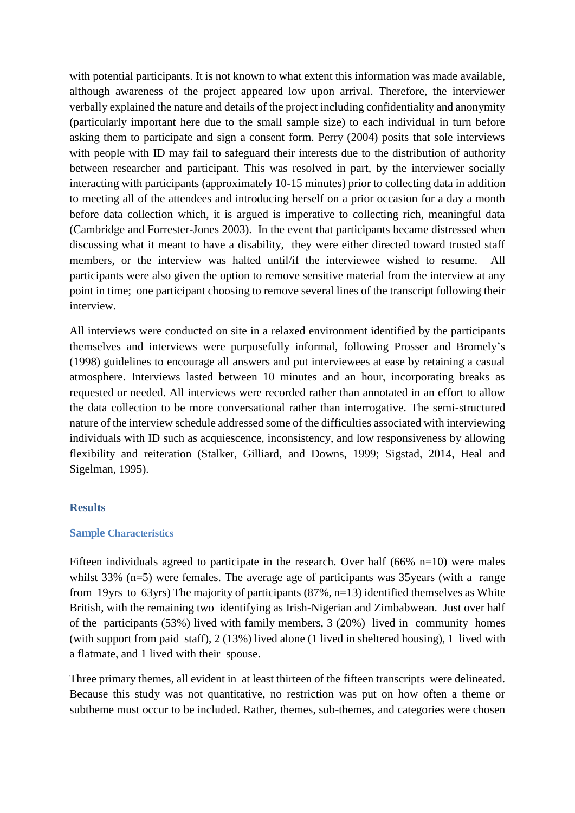with potential participants. It is not known to what extent this information was made available, although awareness of the project appeared low upon arrival. Therefore, the interviewer verbally explained the nature and details of the project including confidentiality and anonymity (particularly important here due to the small sample size) to each individual in turn before asking them to participate and sign a consent form. Perry (2004) posits that sole interviews with people with ID may fail to safeguard their interests due to the distribution of authority between researcher and participant. This was resolved in part, by the interviewer socially interacting with participants (approximately 10-15 minutes) prior to collecting data in addition to meeting all of the attendees and introducing herself on a prior occasion for a day a month before data collection which, it is argued is imperative to collecting rich, meaningful data (Cambridge and Forrester-Jones 2003). In the event that participants became distressed when discussing what it meant to have a disability, they were either directed toward trusted staff members, or the interview was halted until/if the interviewee wished to resume. All participants were also given the option to remove sensitive material from the interview at any point in time; one participant choosing to remove several lines of the transcript following their interview.

All interviews were conducted on site in a relaxed environment identified by the participants themselves and interviews were purposefully informal, following Prosser and Bromely's (1998) guidelines to encourage all answers and put interviewees at ease by retaining a casual atmosphere. Interviews lasted between 10 minutes and an hour, incorporating breaks as requested or needed. All interviews were recorded rather than annotated in an effort to allow the data collection to be more conversational rather than interrogative. The semi-structured nature of the interview schedule addressed some of the difficulties associated with interviewing individuals with ID such as acquiescence, inconsistency, and low responsiveness by allowing flexibility and reiteration (Stalker, Gilliard, and Downs, 1999; Sigstad, 2014, Heal and Sigelman, 1995).

#### **Results**

#### **Sample Characteristics**

Fifteen individuals agreed to participate in the research. Over half (66% n=10) were males whilst 33% (n=5) were females. The average age of participants was 35 years (with a range from 19yrs to 63yrs) The majority of participants (87%, n=13) identified themselves as White British, with the remaining two identifying as Irish-Nigerian and Zimbabwean. Just over half of the participants (53%) lived with family members, 3 (20%) lived in community homes (with support from paid staff), 2 (13%) lived alone (1 lived in sheltered housing), 1 lived with a flatmate, and 1 lived with their spouse.

Three primary themes, all evident in at least thirteen of the fifteen transcripts were delineated. Because this study was not quantitative, no restriction was put on how often a theme or subtheme must occur to be included. Rather, themes, sub-themes, and categories were chosen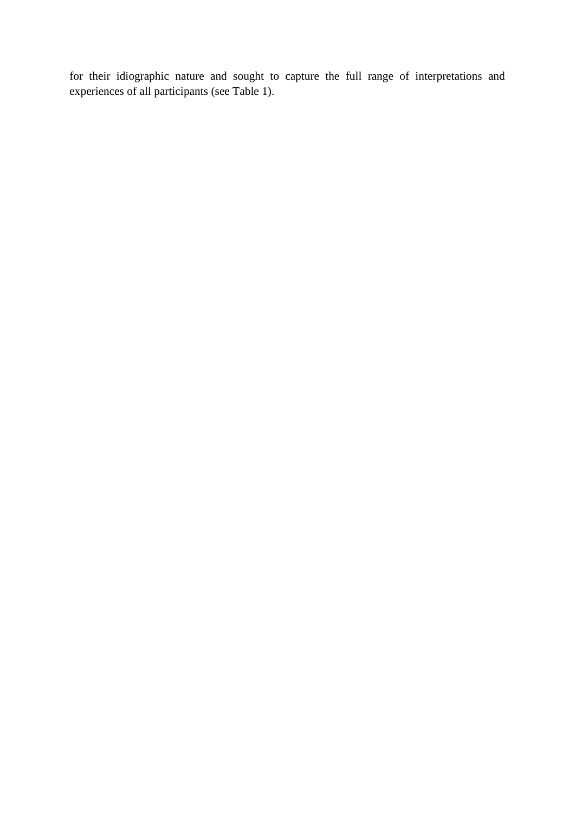for their idiographic nature and sought to capture the full range of interpretations and experiences of all participants (see Table 1).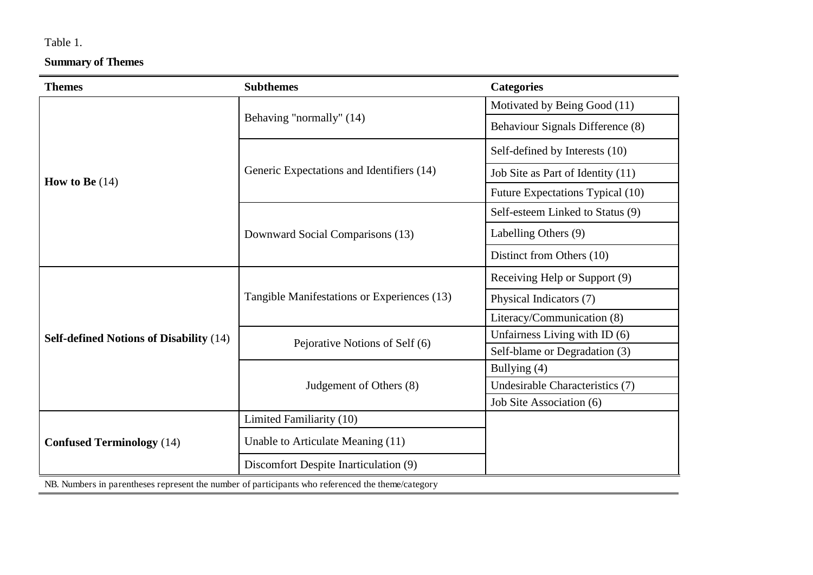# Table 1.

## **Summary of Themes**

| <b>Themes</b>                                                                                     | <b>Subthemes</b>                            | <b>Categories</b>                 |
|---------------------------------------------------------------------------------------------------|---------------------------------------------|-----------------------------------|
| How to Be $(14)$                                                                                  | Behaving "normally" (14)                    | Motivated by Being Good (11)      |
|                                                                                                   |                                             | Behaviour Signals Difference (8)  |
|                                                                                                   | Generic Expectations and Identifiers (14)   | Self-defined by Interests (10)    |
|                                                                                                   |                                             | Job Site as Part of Identity (11) |
|                                                                                                   |                                             | Future Expectations Typical (10)  |
|                                                                                                   | Downward Social Comparisons (13)            | Self-esteem Linked to Status (9)  |
|                                                                                                   |                                             | Labelling Others (9)              |
|                                                                                                   |                                             | Distinct from Others (10)         |
| <b>Self-defined Notions of Disability (14)</b>                                                    | Tangible Manifestations or Experiences (13) | Receiving Help or Support (9)     |
|                                                                                                   |                                             | Physical Indicators (7)           |
|                                                                                                   |                                             | Literacy/Communication (8)        |
|                                                                                                   | Pejorative Notions of Self (6)              | Unfairness Living with ID (6)     |
|                                                                                                   |                                             | Self-blame or Degradation (3)     |
|                                                                                                   | Judgement of Others (8)                     | Bullying (4)                      |
|                                                                                                   |                                             | Undesirable Characteristics (7)   |
|                                                                                                   |                                             | Job Site Association (6)          |
| <b>Confused Terminology</b> (14)                                                                  | Limited Familiarity (10)                    |                                   |
|                                                                                                   | Unable to Articulate Meaning (11)           |                                   |
|                                                                                                   | Discomfort Despite Inarticulation (9)       |                                   |
| NB. Numbers in parentheses represent the number of participants who referenced the theme/category |                                             |                                   |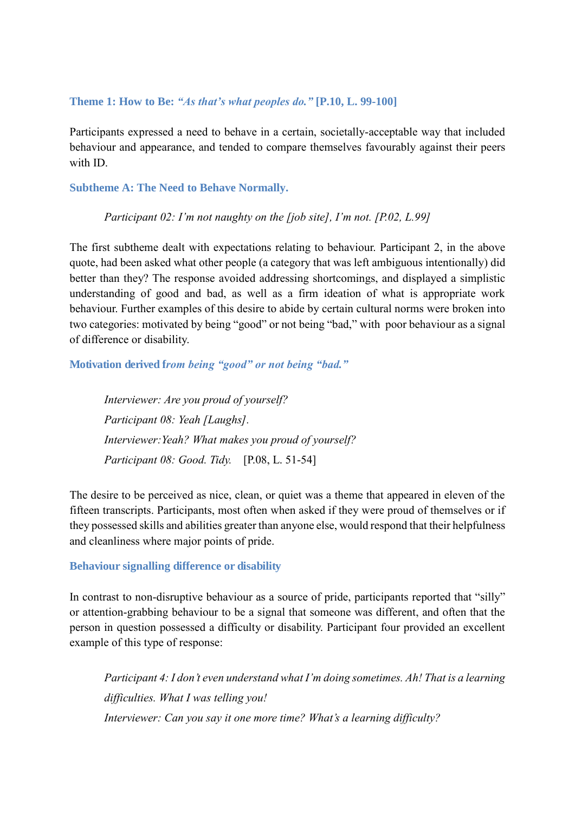#### **Theme 1: How to Be:** *"As that's what peoples do."* **[P.10, L. 99-100]**

Participants expressed a need to behave in a certain, societally-acceptable way that included behaviour and appearance, and tended to compare themselves favourably against their peers with ID.

**Subtheme A: The Need to Behave Normally.** 

#### *Participant 02: I'm not naughty on the [job site], I'm not. [P.02, L.99]*

The first subtheme dealt with expectations relating to behaviour. Participant 2, in the above quote, had been asked what other people (a category that was left ambiguous intentionally) did better than they? The response avoided addressing shortcomings, and displayed a simplistic understanding of good and bad, as well as a firm ideation of what is appropriate work behaviour. Further examples of this desire to abide by certain cultural norms were broken into two categories: motivated by being "good" or not being "bad," with poor behaviour as a signal of difference or disability.

**Motivation derived f***rom being "good" or not being "bad."*

*Interviewer: Are you proud of yourself? Participant 08: Yeah [Laughs]. Interviewer:Yeah? What makes you proud of yourself? Participant 08: Good. Tidy.* [P.08, L. 51-54]

The desire to be perceived as nice, clean, or quiet was a theme that appeared in eleven of the fifteen transcripts. Participants, most often when asked if they were proud of themselves or if they possessed skills and abilities greater than anyone else, would respond that their helpfulness and cleanliness where major points of pride.

#### **Behaviour signalling difference or disability**

In contrast to non-disruptive behaviour as a source of pride, participants reported that "silly" or attention-grabbing behaviour to be a signal that someone was different, and often that the person in question possessed a difficulty or disability. Participant four provided an excellent example of this type of response:

*Participant 4: I don't even understand what I'm doing sometimes. Ah! That is a learning difficulties. What I was telling you! Interviewer: Can you say it one more time? What's a learning difficulty?*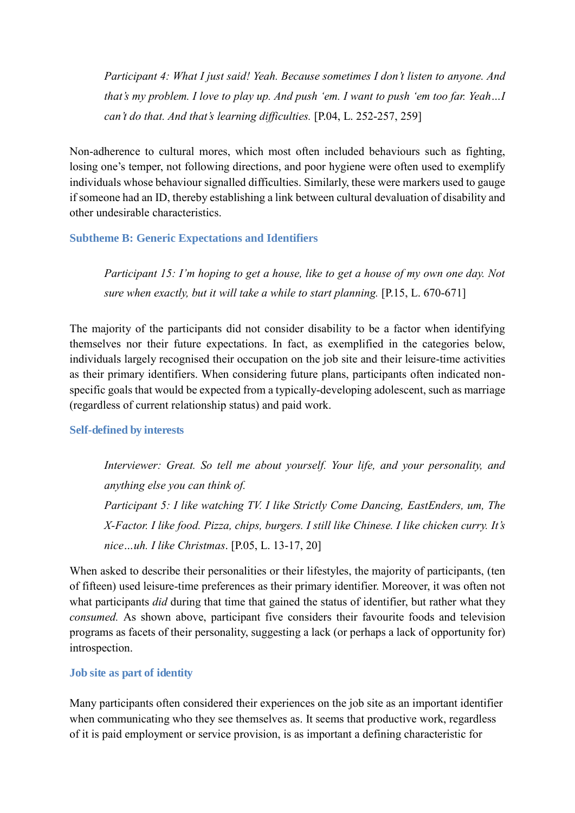*Participant 4: What I just said! Yeah. Because sometimes I don't listen to anyone. And that's my problem. I love to play up. And push 'em. I want to push 'em too far. Yeah…I can't do that. And that's learning difficulties.* [P.04, L. 252-257, 259]

Non-adherence to cultural mores, which most often included behaviours such as fighting, losing one's temper, not following directions, and poor hygiene were often used to exemplify individuals whose behaviour signalled difficulties. Similarly, these were markers used to gauge if someone had an ID, thereby establishing a link between cultural devaluation of disability and other undesirable characteristics.

#### **Subtheme B: Generic Expectations and Identifiers**

*Participant 15: I'm hoping to get a house, like to get a house of my own one day. Not sure when exactly, but it will take a while to start planning.* [P.15, L. 670-671]

The majority of the participants did not consider disability to be a factor when identifying themselves nor their future expectations. In fact, as exemplified in the categories below, individuals largely recognised their occupation on the job site and their leisure-time activities as their primary identifiers. When considering future plans, participants often indicated nonspecific goals that would be expected from a typically-developing adolescent, such as marriage (regardless of current relationship status) and paid work.

#### **Self-defined by interests**

*Interviewer: Great. So tell me about yourself. Your life, and your personality, and anything else you can think of. Participant 5: I like watching TV. I like Strictly Come Dancing, EastEnders, um, The X-Factor. I like food. Pizza, chips, burgers. I still like Chinese. I like chicken curry. It's nice…uh. I like Christmas*. [P.05, L. 13-17, 20]

When asked to describe their personalities or their lifestyles, the majority of participants, (ten of fifteen) used leisure-time preferences as their primary identifier. Moreover, it was often not what participants *did* during that time that gained the status of identifier, but rather what they *consumed.* As shown above, participant five considers their favourite foods and television programs as facets of their personality, suggesting a lack (or perhaps a lack of opportunity for) introspection.

#### **Job site as part of identity**

Many participants often considered their experiences on the job site as an important identifier when communicating who they see themselves as. It seems that productive work, regardless of it is paid employment or service provision, is as important a defining characteristic for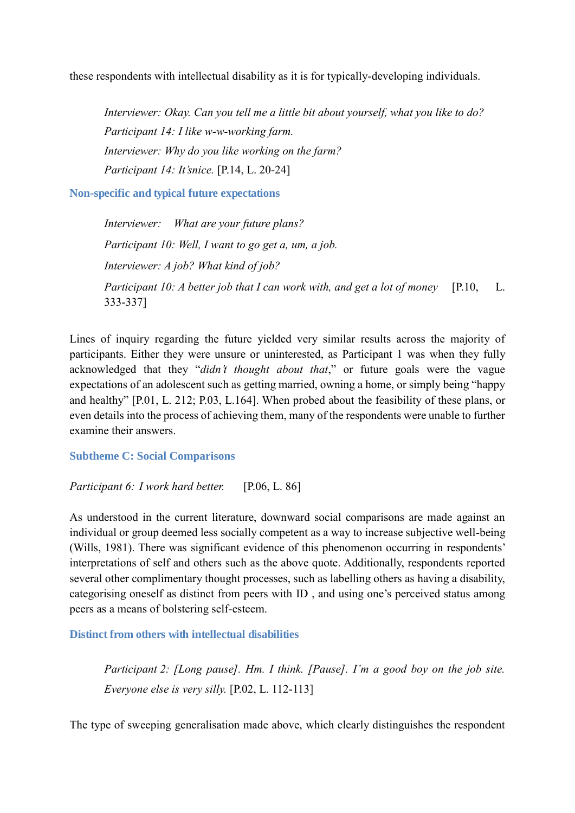these respondents with intellectual disability as it is for typically-developing individuals.

*Interviewer: Okay. Can you tell me a little bit about yourself, what you like to do? Participant 14: I like w-w-working farm. Interviewer: Why do you like working on the farm? Participant 14: It'snice.* [P.14, L. 20-24]

**Non-specific and typical future expectations** 

*Interviewer: What are your future plans? Participant 10: Well, I want to go get a, um, a job. Interviewer: A job? What kind of job? Participant 10: A better job that I can work with, and get a lot of money* [P.10, L. 333-337]

Lines of inquiry regarding the future yielded very similar results across the majority of participants. Either they were unsure or uninterested, as Participant 1 was when they fully acknowledged that they "*didn't thought about that*," or future goals were the vague expectations of an adolescent such as getting married, owning a home, or simply being "happy and healthy" [P.01, L. 212; P.03, L.164]. When probed about the feasibility of these plans, or even details into the process of achieving them, many of the respondents were unable to further examine their answers.

**Subtheme C: Social Comparisons** 

*Participant 6: I work hard better.* [P.06, L. 86]

As understood in the current literature, downward social comparisons are made against an individual or group deemed less socially competent as a way to increase subjective well-being (Wills, 1981). There was significant evidence of this phenomenon occurring in respondents' interpretations of self and others such as the above quote. Additionally, respondents reported several other complimentary thought processes, such as labelling others as having a disability, categorising oneself as distinct from peers with ID , and using one's perceived status among peers as a means of bolstering self-esteem.

**Distinct from others with intellectual disabilities** 

*Participant 2: [Long pause]. Hm. I think. [Pause]. I'm a good boy on the job site. Everyone else is very silly.* [P.02, L. 112-113]

The type of sweeping generalisation made above, which clearly distinguishes the respondent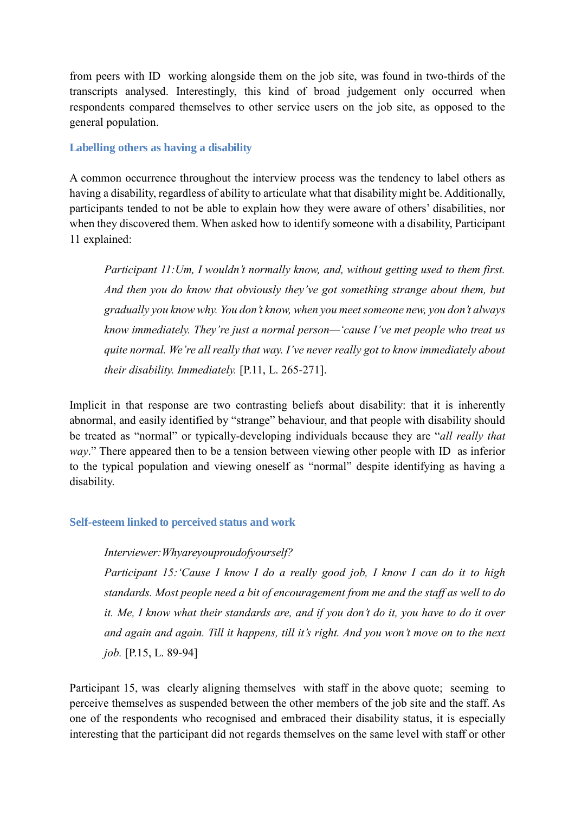from peers with ID working alongside them on the job site, was found in two-thirds of the transcripts analysed. Interestingly, this kind of broad judgement only occurred when respondents compared themselves to other service users on the job site, as opposed to the general population.

#### **Labelling others as having a disability**

A common occurrence throughout the interview process was the tendency to label others as having a disability, regardless of ability to articulate what that disability might be. Additionally, participants tended to not be able to explain how they were aware of others' disabilities, nor when they discovered them. When asked how to identify someone with a disability, Participant 11 explained:

*Participant 11:Um, I wouldn't normally know, and, without getting used to them first. And then you do know that obviously they've got something strange about them, but gradually you know why. You don't know, when you meet someone new, you don't always know immediately. They're just a normal person—'cause I've met people who treat us quite normal. We're all really that way. I've never really got to know immediately about their disability. Immediately.* [P.11, L. 265-271].

Implicit in that response are two contrasting beliefs about disability: that it is inherently abnormal, and easily identified by "strange" behaviour, and that people with disability should be treated as "normal" or typically-developing individuals because they are "*all really that way*." There appeared then to be a tension between viewing other people with ID as inferior to the typical population and viewing oneself as "normal" despite identifying as having a disability.

#### **Self-esteem linked to perceived status and work**

#### *Interviewer:Whyareyouproudofyourself?*

*Participant 15:'Cause I know I do a really good job, I know I can do it to high standards. Most people need a bit of encouragement from me and the staff as well to do it. Me, I know what their standards are, and if you don't do it, you have to do it over and again and again. Till it happens, till it's right. And you won't move on to the next job.* [P.15, L. 89-94]

Participant 15, was clearly aligning themselves with staff in the above quote; seeming to perceive themselves as suspended between the other members of the job site and the staff. As one of the respondents who recognised and embraced their disability status, it is especially interesting that the participant did not regards themselves on the same level with staff or other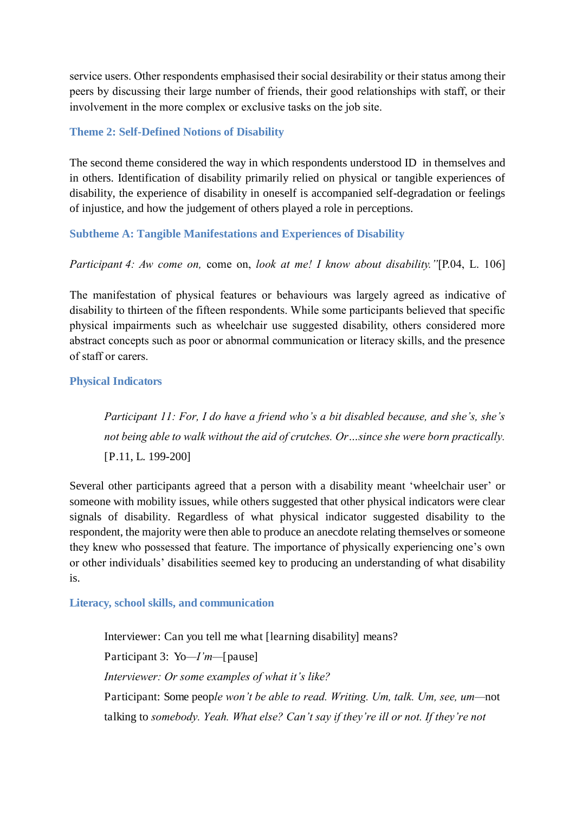service users. Other respondents emphasised their social desirability or their status among their peers by discussing their large number of friends, their good relationships with staff, or their involvement in the more complex or exclusive tasks on the job site.

## **Theme 2: Self-Defined Notions of Disability**

The second theme considered the way in which respondents understood ID in themselves and in others. Identification of disability primarily relied on physical or tangible experiences of disability, the experience of disability in oneself is accompanied self-degradation or feelings of injustice, and how the judgement of others played a role in perceptions.

## **Subtheme A: Tangible Manifestations and Experiences of Disability**

## *Participant 4: Aw come on,* come on, *look at me! I know about disability."*[P.04, L. 106]

The manifestation of physical features or behaviours was largely agreed as indicative of disability to thirteen of the fifteen respondents. While some participants believed that specific physical impairments such as wheelchair use suggested disability, others considered more abstract concepts such as poor or abnormal communication or literacy skills, and the presence of staff or carers.

## **Physical Indicators**

*Participant 11: For, I do have a friend who's a bit disabled because, and she's, she's not being able to walk without the aid of crutches. Or…since she were born practically.*  [P.11, L. 199-200]

Several other participants agreed that a person with a disability meant 'wheelchair user' or someone with mobility issues, while others suggested that other physical indicators were clear signals of disability. Regardless of what physical indicator suggested disability to the respondent, the majority were then able to produce an anecdote relating themselves or someone they knew who possessed that feature. The importance of physically experiencing one's own or other individuals' disabilities seemed key to producing an understanding of what disability is.

#### **Literacy, school skills, and communication**

Interviewer: Can you tell me what [learning disability] means? Participant 3: Yo*—I'm—*[pause] *Interviewer: Or some examples of what it's like?* Participant: Some peop*le won't be able to read. Writing. Um, talk. Um, see, um—*not talking to *somebody. Yeah. What else? Can't say if they're ill or not. If they're not*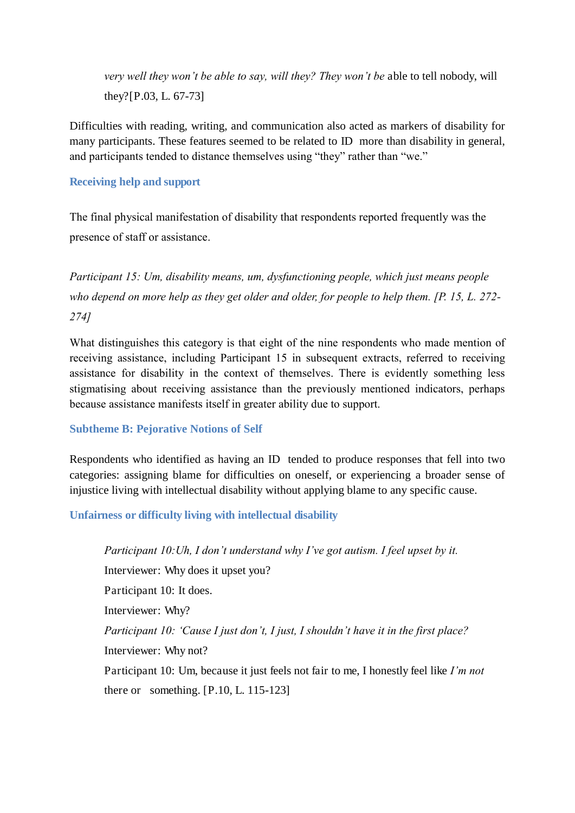*very well they won't be able to say, will they? They won't be* able to tell nobody, will they?[P.03, L. 67-73]

Difficulties with reading, writing, and communication also acted as markers of disability for many participants. These features seemed to be related to ID more than disability in general, and participants tended to distance themselves using "they" rather than "we."

### **Receiving help and support**

The final physical manifestation of disability that respondents reported frequently was the presence of staff or assistance.

*Participant 15: Um, disability means, um, dysfunctioning people, which just means people who depend on more help as they get older and older, for people to help them. [P. 15, L. 272- 274]*

What distinguishes this category is that eight of the nine respondents who made mention of receiving assistance, including Participant 15 in subsequent extracts, referred to receiving assistance for disability in the context of themselves. There is evidently something less stigmatising about receiving assistance than the previously mentioned indicators, perhaps because assistance manifests itself in greater ability due to support.

#### **Subtheme B: Pejorative Notions of Self**

Respondents who identified as having an ID tended to produce responses that fell into two categories: assigning blame for difficulties on oneself, or experiencing a broader sense of injustice living with intellectual disability without applying blame to any specific cause.

#### **Unfairness or difficulty living with intellectual disability**

*Participant 10:Uh, I don't understand why I've got autism. I feel upset by it.* Interviewer: Why does it upset you? Participant 10: It does. Interviewer: Why? *Participant 10: 'Cause I just don't, I just, I shouldn't have it in the first place?* Interviewer: Why not? Participant 10: Um, because it just feels not fair to me, I honestly feel like *I'm not*  there or something. [P.10, L. 115-123]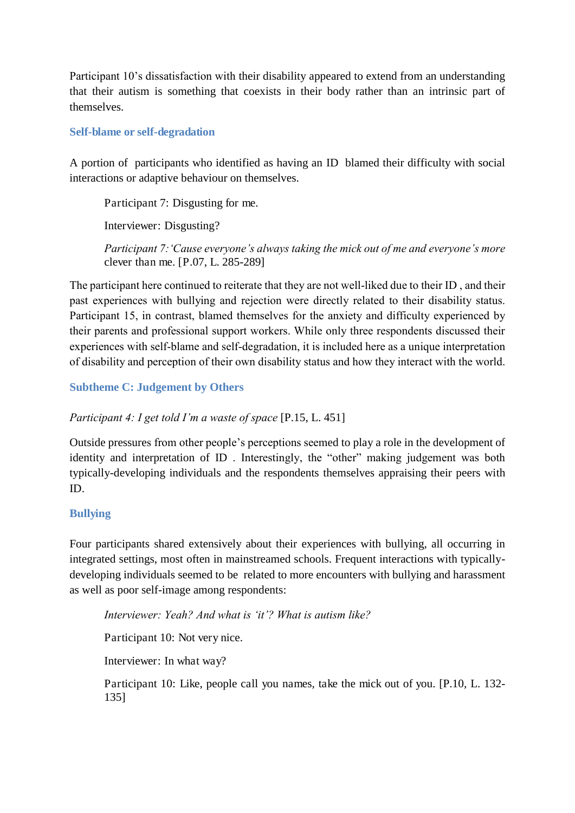Participant 10's dissatisfaction with their disability appeared to extend from an understanding that their autism is something that coexists in their body rather than an intrinsic part of themselves.

#### **Self-blame or self-degradation**

A portion of participants who identified as having an ID blamed their difficulty with social interactions or adaptive behaviour on themselves.

Participant 7: Disgusting for me.

Interviewer: Disgusting?

*Participant 7:'Cause everyone's always taking the mick out of me and everyone's more*  clever than me. [P.07, L. 285-289]

The participant here continued to reiterate that they are not well-liked due to their ID , and their past experiences with bullying and rejection were directly related to their disability status. Participant 15, in contrast, blamed themselves for the anxiety and difficulty experienced by their parents and professional support workers. While only three respondents discussed their experiences with self-blame and self-degradation, it is included here as a unique interpretation of disability and perception of their own disability status and how they interact with the world.

**Subtheme C: Judgement by Others** 

*Participant 4: I get told I'm a waste of space* [P.15, L. 451]

Outside pressures from other people's perceptions seemed to play a role in the development of identity and interpretation of ID . Interestingly, the "other" making judgement was both typically-developing individuals and the respondents themselves appraising their peers with ID.

# **Bullying**

Four participants shared extensively about their experiences with bullying, all occurring in integrated settings, most often in mainstreamed schools. Frequent interactions with typicallydeveloping individuals seemed to be related to more encounters with bullying and harassment as well as poor self-image among respondents:

*Interviewer: Yeah? And what is 'it'? What is autism like?*

Participant 10: Not very nice.

Interviewer: In what way?

Participant 10: Like, people call you names, take the mick out of you. [P.10, L. 132- 135]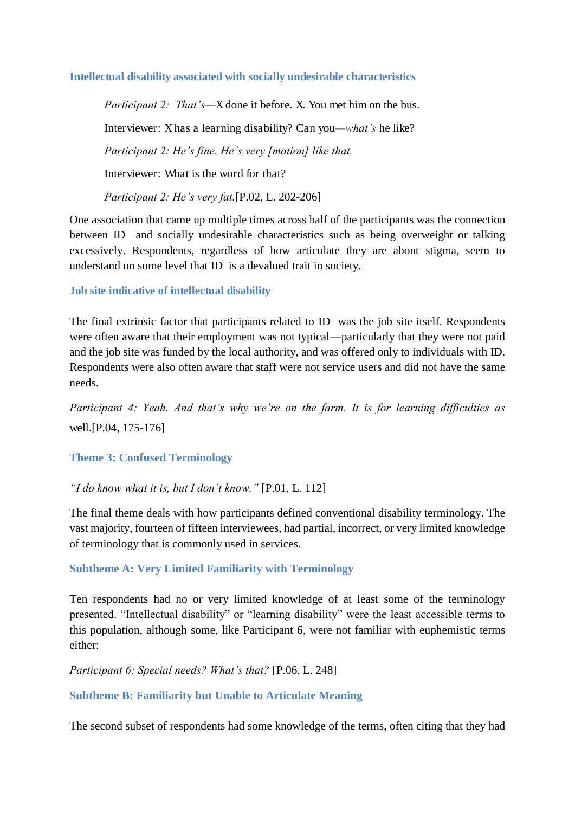#### **Intellectual disability associated with socially undesirable characteristics**

*Participant 2: That's—X* done it before. X. You met him on the bus. Interviewer: X has a learning disability? Can you*—what's* he like? *Participant 2: He's fine. He's very [motion] like that.* Interviewer: What is the word for that? *Participant 2: He's very fat.*[P.02, L. 202-206]

One association that came up multiple times across half of the participants was the connection between ID and socially undesirable characteristics such as being overweight or talking excessively. Respondents, regardless of how articulate they are about stigma, seem to understand on some level that ID is a devalued trait in society.

**Job site indicative of intellectual disability** 

The final extrinsic factor that participants related to ID was the job site itself. Respondents were often aware that their employment was not typical—particularly that they were not paid and the job site was funded by the local authority, and was offered only to individuals with ID. Respondents were also often aware that staff were not service users and did not have the same needs.

*Participant 4: Yeah. And that's why we're on the farm. It is for learning difficulties as*  well.[P.04, 175-176]

#### **Theme 3: Confused Terminology**

*"I do know what it is, but I don't know."* [P.01, L. 112]

The final theme deals with how participants defined conventional disability terminology. The vast majority, fourteen of fifteen interviewees, had partial, incorrect, or very limited knowledge of terminology that is commonly used in services.

**Subtheme A: Very Limited Familiarity with Terminology** 

Ten respondents had no or very limited knowledge of at least some of the terminology presented. "Intellectual disability" or "learning disability" were the least accessible terms to this population, although some, like Participant 6, were not familiar with euphemistic terms either:

*Participant 6: Special needs? What's that?* [P.06, L. 248]

**Subtheme B: Familiarity but Unable to Articulate Meaning** 

The second subset of respondents had some knowledge of the terms, often citing that they had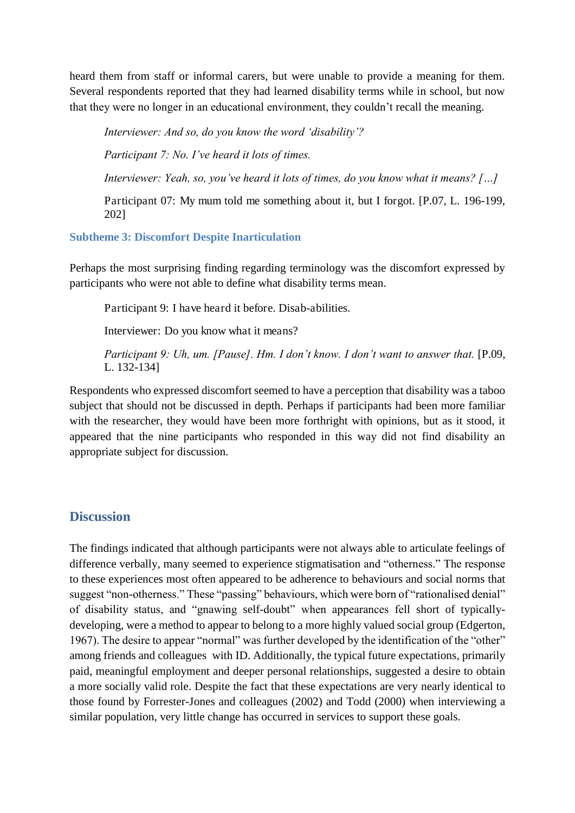heard them from staff or informal carers, but were unable to provide a meaning for them. Several respondents reported that they had learned disability terms while in school, but now that they were no longer in an educational environment, they couldn't recall the meaning.

*Interviewer: And so, do you know the word 'disability'?*

*Participant 7: No. I've heard it lots of times.*

*Interviewer: Yeah, so, you've heard it lots of times, do you know what it means? […]*

Participant 07: My mum told me something about it, but I forgot. [P.07, L. 196-199, 202]

#### **Subtheme 3: Discomfort Despite Inarticulation**

Perhaps the most surprising finding regarding terminology was the discomfort expressed by participants who were not able to define what disability terms mean.

Participant 9: I have heard it before. Disab-abilities.

Interviewer: Do you know what it means?

*Participant 9: Uh, um. [Pause]. Hm. I don't know. I don't want to answer that.* [P.09, L. 132-134]

Respondents who expressed discomfort seemed to have a perception that disability was a taboo subject that should not be discussed in depth. Perhaps if participants had been more familiar with the researcher, they would have been more forthright with opinions, but as it stood, it appeared that the nine participants who responded in this way did not find disability an appropriate subject for discussion.

### **Discussion**

The findings indicated that although participants were not always able to articulate feelings of difference verbally, many seemed to experience stigmatisation and "otherness." The response to these experiences most often appeared to be adherence to behaviours and social norms that suggest "non-otherness." These "passing" behaviours, which were born of "rationalised denial" of disability status, and "gnawing self-doubt" when appearances fell short of typicallydeveloping, were a method to appear to belong to a more highly valued social group (Edgerton, 1967). The desire to appear "normal" was further developed by the identification of the "other" among friends and colleagues with ID. Additionally, the typical future expectations, primarily paid, meaningful employment and deeper personal relationships, suggested a desire to obtain a more socially valid role. Despite the fact that these expectations are very nearly identical to those found by Forrester-Jones and colleagues (2002) and Todd (2000) when interviewing a similar population, very little change has occurred in services to support these goals.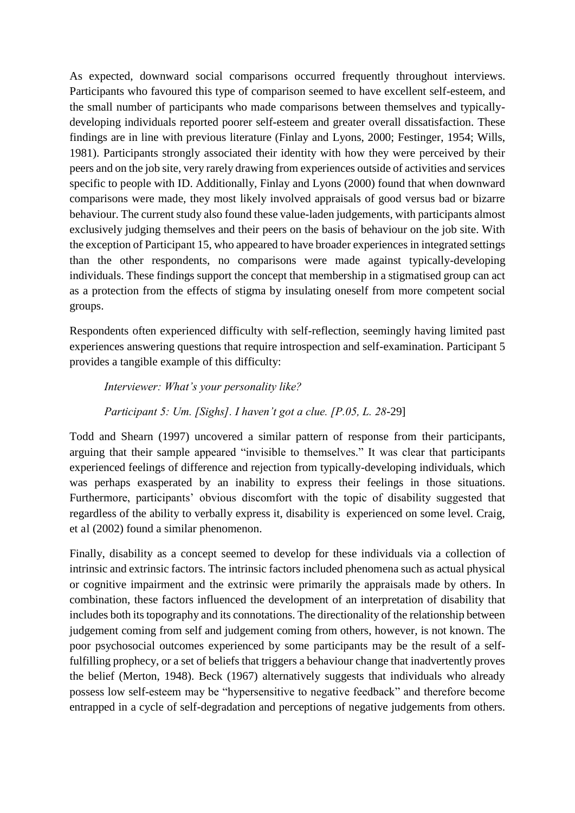As expected, downward social comparisons occurred frequently throughout interviews. Participants who favoured this type of comparison seemed to have excellent self-esteem, and the small number of participants who made comparisons between themselves and typicallydeveloping individuals reported poorer self-esteem and greater overall dissatisfaction. These findings are in line with previous literature (Finlay and Lyons, 2000; Festinger, 1954; Wills, 1981). Participants strongly associated their identity with how they were perceived by their peers and on the job site, very rarely drawing from experiences outside of activities and services specific to people with ID. Additionally, Finlay and Lyons (2000) found that when downward comparisons were made, they most likely involved appraisals of good versus bad or bizarre behaviour. The current study also found these value-laden judgements, with participants almost exclusively judging themselves and their peers on the basis of behaviour on the job site. With the exception of Participant 15, who appeared to have broader experiences in integrated settings than the other respondents, no comparisons were made against typically-developing individuals. These findings support the concept that membership in a stigmatised group can act as a protection from the effects of stigma by insulating oneself from more competent social groups.

Respondents often experienced difficulty with self-reflection, seemingly having limited past experiences answering questions that require introspection and self-examination. Participant 5 provides a tangible example of this difficulty:

*Interviewer: What's your personality like?*

*Participant 5: Um. [Sighs]. I haven't got a clue. [P.05, L. 28*-29]

Todd and Shearn (1997) uncovered a similar pattern of response from their participants, arguing that their sample appeared "invisible to themselves." It was clear that participants experienced feelings of difference and rejection from typically-developing individuals, which was perhaps exasperated by an inability to express their feelings in those situations. Furthermore, participants' obvious discomfort with the topic of disability suggested that regardless of the ability to verbally express it, disability is experienced on some level. Craig, et al (2002) found a similar phenomenon.

Finally, disability as a concept seemed to develop for these individuals via a collection of intrinsic and extrinsic factors. The intrinsic factors included phenomena such as actual physical or cognitive impairment and the extrinsic were primarily the appraisals made by others. In combination, these factors influenced the development of an interpretation of disability that includes both its topography and its connotations. The directionality of the relationship between judgement coming from self and judgement coming from others, however, is not known. The poor psychosocial outcomes experienced by some participants may be the result of a selffulfilling prophecy, or a set of beliefs that triggers a behaviour change that inadvertently proves the belief (Merton, 1948). Beck (1967) alternatively suggests that individuals who already possess low self-esteem may be "hypersensitive to negative feedback" and therefore become entrapped in a cycle of self-degradation and perceptions of negative judgements from others.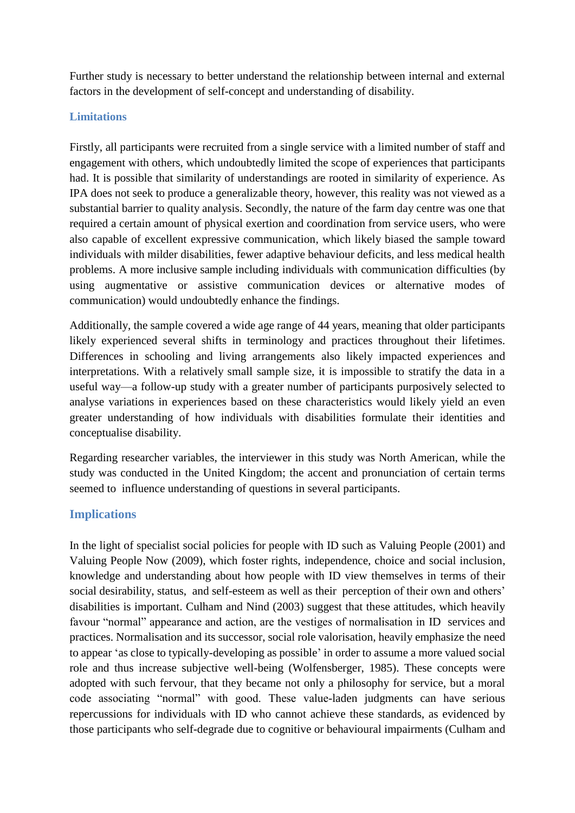Further study is necessary to better understand the relationship between internal and external factors in the development of self-concept and understanding of disability.

#### **Limitations**

Firstly, all participants were recruited from a single service with a limited number of staff and engagement with others, which undoubtedly limited the scope of experiences that participants had. It is possible that similarity of understandings are rooted in similarity of experience. As IPA does not seek to produce a generalizable theory, however, this reality was not viewed as a substantial barrier to quality analysis. Secondly, the nature of the farm day centre was one that required a certain amount of physical exertion and coordination from service users, who were also capable of excellent expressive communication, which likely biased the sample toward individuals with milder disabilities, fewer adaptive behaviour deficits, and less medical health problems. A more inclusive sample including individuals with communication difficulties (by using augmentative or assistive communication devices or alternative modes of communication) would undoubtedly enhance the findings.

Additionally, the sample covered a wide age range of 44 years, meaning that older participants likely experienced several shifts in terminology and practices throughout their lifetimes. Differences in schooling and living arrangements also likely impacted experiences and interpretations. With a relatively small sample size, it is impossible to stratify the data in a useful way—a follow-up study with a greater number of participants purposively selected to analyse variations in experiences based on these characteristics would likely yield an even greater understanding of how individuals with disabilities formulate their identities and conceptualise disability.

Regarding researcher variables, the interviewer in this study was North American, while the study was conducted in the United Kingdom; the accent and pronunciation of certain terms seemed to influence understanding of questions in several participants.

# **Implications**

In the light of specialist social policies for people with ID such as Valuing People (2001) and Valuing People Now (2009), which foster rights, independence, choice and social inclusion, knowledge and understanding about how people with ID view themselves in terms of their social desirability, status, and self-esteem as well as their perception of their own and others' disabilities is important. Culham and Nind (2003) suggest that these attitudes, which heavily favour "normal" appearance and action, are the vestiges of normalisation in ID services and practices. Normalisation and its successor, social role valorisation, heavily emphasize the need to appear 'as close to typically-developing as possible' in order to assume a more valued social role and thus increase subjective well-being (Wolfensberger, 1985). These concepts were adopted with such fervour, that they became not only a philosophy for service, but a moral code associating "normal" with good. These value-laden judgments can have serious repercussions for individuals with ID who cannot achieve these standards, as evidenced by those participants who self-degrade due to cognitive or behavioural impairments (Culham and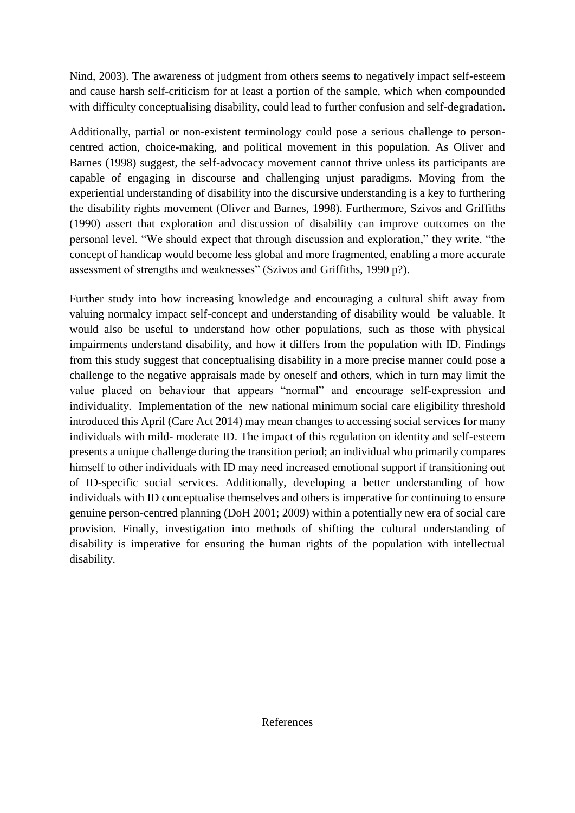Nind, 2003). The awareness of judgment from others seems to negatively impact self-esteem and cause harsh self-criticism for at least a portion of the sample, which when compounded with difficulty conceptualising disability, could lead to further confusion and self-degradation.

Additionally, partial or non-existent terminology could pose a serious challenge to personcentred action, choice-making, and political movement in this population. As Oliver and Barnes (1998) suggest, the self-advocacy movement cannot thrive unless its participants are capable of engaging in discourse and challenging unjust paradigms. Moving from the experiential understanding of disability into the discursive understanding is a key to furthering the disability rights movement (Oliver and Barnes, 1998). Furthermore, Szivos and Griffiths (1990) assert that exploration and discussion of disability can improve outcomes on the personal level. "We should expect that through discussion and exploration," they write, "the concept of handicap would become less global and more fragmented, enabling a more accurate assessment of strengths and weaknesses" (Szivos and Griffiths, 1990 p?).

Further study into how increasing knowledge and encouraging a cultural shift away from valuing normalcy impact self-concept and understanding of disability would be valuable. It would also be useful to understand how other populations, such as those with physical impairments understand disability, and how it differs from the population with ID. Findings from this study suggest that conceptualising disability in a more precise manner could pose a challenge to the negative appraisals made by oneself and others, which in turn may limit the value placed on behaviour that appears "normal" and encourage self-expression and individuality. Implementation of the new national minimum social care eligibility threshold introduced this April (Care Act 2014) may mean changes to accessing social services for many individuals with mild- moderate ID. The impact of this regulation on identity and self-esteem presents a unique challenge during the transition period; an individual who primarily compares himself to other individuals with ID may need increased emotional support if transitioning out of ID-specific social services. Additionally, developing a better understanding of how individuals with ID conceptualise themselves and others is imperative for continuing to ensure genuine person-centred planning (DoH 2001; 2009) within a potentially new era of social care provision. Finally, investigation into methods of shifting the cultural understanding of disability is imperative for ensuring the human rights of the population with intellectual disability.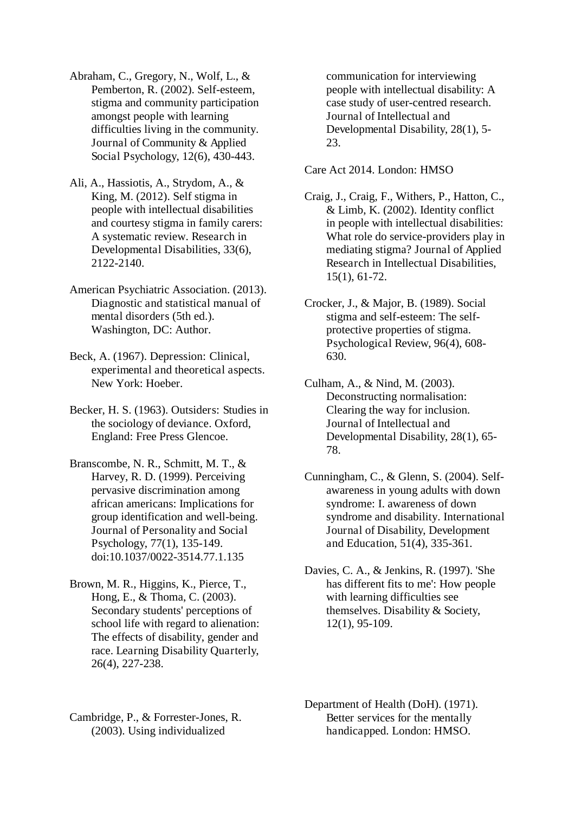- Abraham, C., Gregory, N., Wolf, L., & Pemberton, R. (2002). Self-esteem, stigma and community participation amongst people with learning difficulties living in the community. Journal of Community & Applied Social Psychology, 12(6), 430-443.
- Ali, A., Hassiotis, A., Strydom, A., & King, M. (2012). Self stigma in people with intellectual disabilities and courtesy stigma in family carers: A systematic review. Research in Developmental Disabilities, 33(6), 2122-2140.
- American Psychiatric Association. (2013). Diagnostic and statistical manual of mental disorders (5th ed.). Washington, DC: Author.
- Beck, A. (1967). Depression: Clinical, experimental and theoretical aspects. New York: Hoeber.
- Becker, H. S. (1963). Outsiders: Studies in the sociology of deviance. Oxford, England: Free Press Glencoe.
- Branscombe, N. R., Schmitt, M. T., & Harvey, R. D. (1999). Perceiving pervasive discrimination among african americans: Implications for group identification and well-being. Journal of Personality and Social Psychology, 77(1), 135-149. doi:10.1037/0022-3514.77.1.135
- Brown, M. R., Higgins, K., Pierce, T., Hong, E., & Thoma, C. (2003). Secondary students' perceptions of school life with regard to alienation: The effects of disability, gender and race. Learning Disability Quarterly, 26(4), 227-238.

Cambridge, P., & Forrester-Jones, R. (2003). Using individualized

communication for interviewing people with intellectual disability: A case study of user-centred research. Journal of Intellectual and Developmental Disability, 28(1), 5- 23.

Care Act 2014. London: HMSO

- Craig, J., Craig, F., Withers, P., Hatton, C., & Limb, K. (2002). Identity conflict in people with intellectual disabilities: What role do service-providers play in mediating stigma? Journal of Applied Research in Intellectual Disabilities, 15(1), 61-72.
- Crocker, J., & Major, B. (1989). Social stigma and self-esteem: The selfprotective properties of stigma. Psychological Review, 96(4), 608- 630.
- Culham, A., & Nind, M. (2003). Deconstructing normalisation: Clearing the way for inclusion. Journal of Intellectual and Developmental Disability, 28(1), 65- 78.
- Cunningham, C., & Glenn, S. (2004). Selfawareness in young adults with down syndrome: I. awareness of down syndrome and disability. International Journal of Disability, Development and Education, 51(4), 335-361.
- Davies, C. A., & Jenkins, R. (1997). 'She has different fits to me': How people with learning difficulties see themselves. Disability & Society, 12(1), 95-109.

Department of Health (DoH). (1971). Better services for the mentally handicapped. London: HMSO.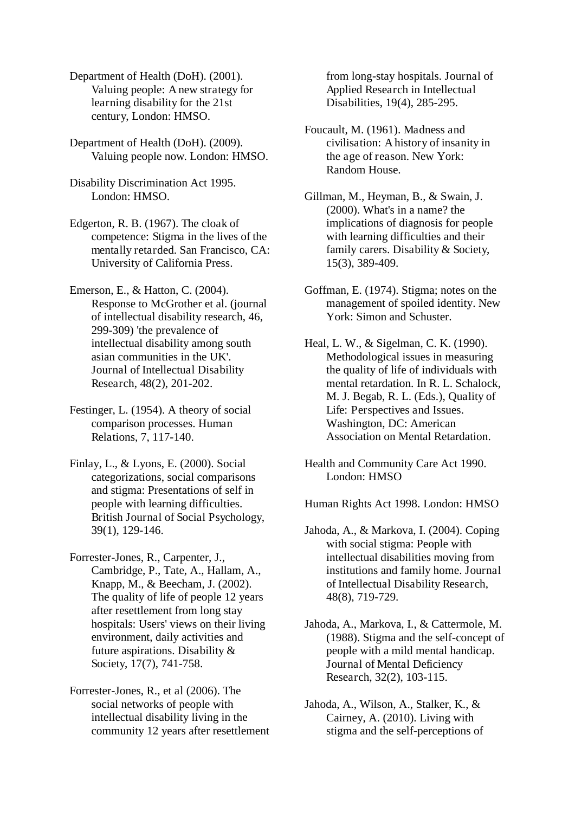Department of Health (DoH). (2001). Valuing people: A new strategy for learning disability for the 21st century, London: HMSO.

Department of Health (DoH). (2009). Valuing people now. London: HMSO.

Disability Discrimination Act 1995. London: HMSO.

- Edgerton, R. B. (1967). The cloak of competence: Stigma in the lives of the mentally retarded. San Francisco, CA: University of California Press.
- Emerson, E., & Hatton, C. (2004). Response to McGrother et al. (journal of intellectual disability research, 46, 299-309) 'the prevalence of intellectual disability among south asian communities in the UK'. Journal of Intellectual Disability Research, 48(2), 201-202.
- Festinger, L. (1954). A theory of social comparison processes. Human Relations, 7, 117-140.
- Finlay, L., & Lyons, E. (2000). Social categorizations, social comparisons and stigma: Presentations of self in people with learning difficulties. British Journal of Social Psychology, 39(1), 129-146.
- Forrester-Jones, R., Carpenter, J., Cambridge, P., Tate, A., Hallam, A., Knapp, M., & Beecham, J. (2002). The quality of life of people 12 years after resettlement from long stay hospitals: Users' views on their living environment, daily activities and future aspirations. Disability & Society, 17(7), 741-758.
- Forrester-Jones, R., et al (2006). The social networks of people with intellectual disability living in the community 12 years after resettlement

from long-stay hospitals. Journal of Applied Research in Intellectual Disabilities, 19(4), 285-295.

- Foucault, M. (1961). Madness and civilisation: A history of insanity in the age of reason. New York: Random House.
- Gillman, M., Heyman, B., & Swain, J. (2000). What's in a name? the implications of diagnosis for people with learning difficulties and their family carers. Disability & Society, 15(3), 389-409.
- Goffman, E. (1974). Stigma; notes on the management of spoiled identity. New York: Simon and Schuster.
- Heal, L. W., & Sigelman, C. K. (1990). Methodological issues in measuring the quality of life of individuals with mental retardation. In R. L. Schalock, M. J. Begab, R. L. (Eds.), Quality of Life: Perspectives and Issues. Washington, DC: American Association on Mental Retardation.
- Health and Community Care Act 1990. London: HMSO

Human Rights Act 1998. London: HMSO

- Jahoda, A., & Markova, I. (2004). Coping with social stigma: People with intellectual disabilities moving from institutions and family home. Journal of Intellectual Disability Research, 48(8), 719-729.
- Jahoda, A., Markova, I., & Cattermole, M. (1988). Stigma and the self-concept of people with a mild mental handicap. Journal of Mental Deficiency Research, 32(2), 103-115.
- Jahoda, A., Wilson, A., Stalker, K., & Cairney, A. (2010). Living with stigma and the self-perceptions of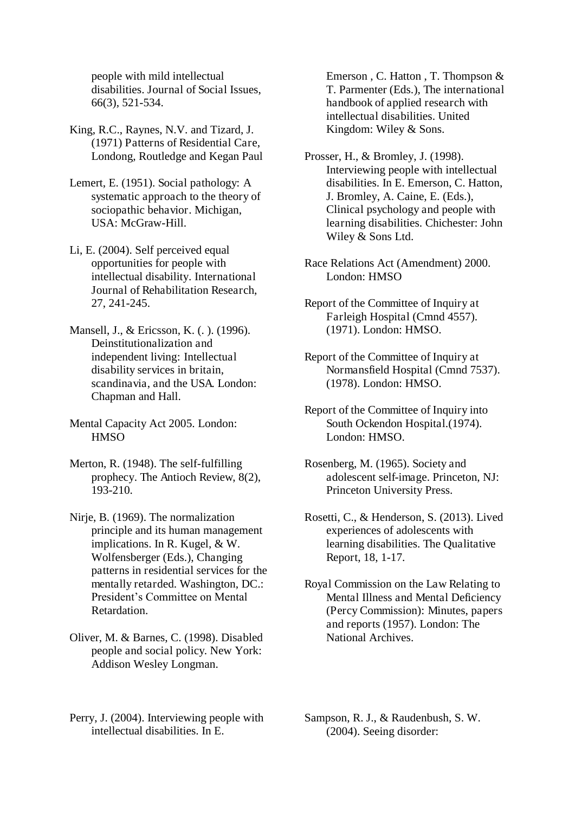people with mild intellectual disabilities. Journal of Social Issues, 66(3), 521-534.

King, R.C., Raynes, N.V. and Tizard, J. (1971) Patterns of Residential Care, Londong, Routledge and Kegan Paul

Lemert, E. (1951). Social pathology: A systematic approach to the theory of sociopathic behavior. Michigan, USA: McGraw-Hill.

Li, E. (2004). Self perceived equal opportunities for people with intellectual disability. International Journal of Rehabilitation Research, 27, 241-245.

Mansell, J., & Ericsson, K. (. ). (1996). Deinstitutionalization and independent living: Intellectual disability services in britain, scandinavia, and the USA. London: Chapman and Hall.

Mental Capacity Act 2005. London: **HMSO** 

Merton, R. (1948). The self-fulfilling prophecy. The Antioch Review, 8(2), 193-210.

Nirje, B. (1969). The normalization principle and its human management implications. In R. Kugel, & W. Wolfensberger (Eds.), Changing patterns in residential services for the mentally retarded. Washington, DC.: President's Committee on Mental Retardation.

Oliver, M. & Barnes, C. (1998). Disabled people and social policy. New York: Addison Wesley Longman.

Emerson , C. Hatton , T. Thompson & T. Parmenter (Eds.), The international handbook of applied research with intellectual disabilities. United Kingdom: Wiley & Sons.

Prosser, H., & Bromley, J. (1998). Interviewing people with intellectual disabilities. In E. Emerson, C. Hatton, J. Bromley, A. Caine, E. (Eds.), Clinical psychology and people with learning disabilities. Chichester: John Wiley & Sons Ltd.

- Race Relations Act (Amendment) 2000. London: HMSO
- Report of the Committee of Inquiry at Farleigh Hospital (Cmnd 4557). (1971). London: HMSO.
- Report of the Committee of Inquiry at Normansfield Hospital (Cmnd 7537). (1978). London: HMSO.
- Report of the Committee of Inquiry into South Ockendon Hospital.(1974). London: HMSO.
- Rosenberg, M. (1965). Society and adolescent self-image. Princeton, NJ: Princeton University Press.
- Rosetti, C., & Henderson, S. (2013). Lived experiences of adolescents with learning disabilities. The Qualitative Report, 18, 1-17.
- Royal Commission on the Law Relating to Mental Illness and Mental Deficiency (Percy Commission): Minutes, papers and reports (1957). London: The National Archives.

Perry, J. (2004). Interviewing people with intellectual disabilities. In E.

Sampson, R. J., & Raudenbush, S. W. (2004). Seeing disorder: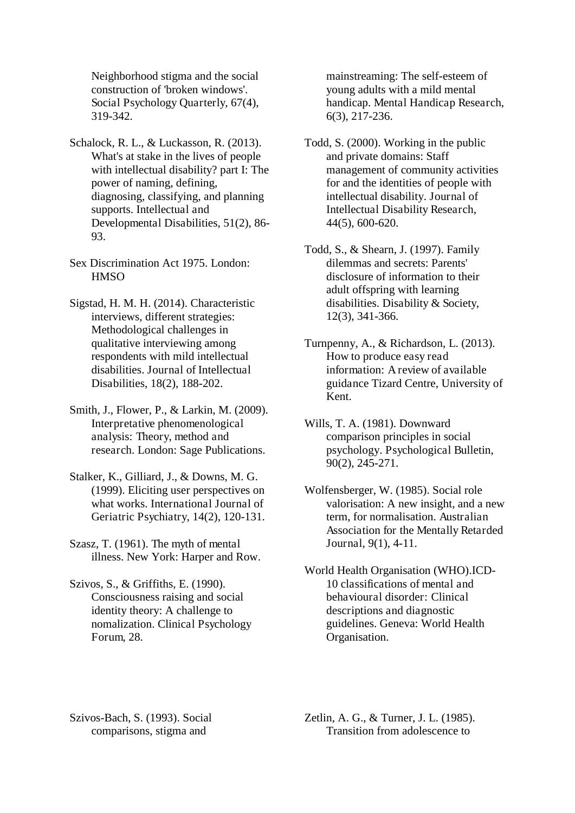Neighborhood stigma and the social construction of 'broken windows'. Social Psychology Quarterly, 67(4), 319-342.

- Schalock, R. L., & Luckasson, R. (2013). What's at stake in the lives of people with intellectual disability? part I: The power of naming, defining, diagnosing, classifying, and planning supports. Intellectual and Developmental Disabilities, 51(2), 86- 93.
- Sex Discrimination Act 1975. London: **HMSO**
- Sigstad, H. M. H. (2014). Characteristic interviews, different strategies: Methodological challenges in qualitative interviewing among respondents with mild intellectual disabilities. Journal of Intellectual Disabilities, 18(2), 188-202.
- Smith, J., Flower, P., & Larkin, M. (2009). Interpretative phenomenological analysis: Theory, method and research. London: Sage Publications.
- Stalker, K., Gilliard, J., & Downs, M. G. (1999). Eliciting user perspectives on what works. International Journal of Geriatric Psychiatry, 14(2), 120-131.
- Szasz, T. (1961). The myth of mental illness. New York: Harper and Row.
- Szivos, S., & Griffiths, E. (1990). Consciousness raising and social identity theory: A challenge to nomalization. Clinical Psychology Forum, 28.

mainstreaming: The self-esteem of young adults with a mild mental handicap. Mental Handicap Research, 6(3), 217-236.

- Todd, S. (2000). Working in the public and private domains: Staff management of community activities for and the identities of people with intellectual disability. Journal of Intellectual Disability Research, 44(5), 600-620.
- Todd, S., & Shearn, J. (1997). Family dilemmas and secrets: Parents' disclosure of information to their adult offspring with learning disabilities. Disability & Society, 12(3), 341-366.
- Turnpenny, A., & Richardson, L. (2013). How to produce easy read information: A review of available guidance Tizard Centre, University of Kent.
- Wills, T. A. (1981). Downward comparison principles in social psychology. Psychological Bulletin, 90(2), 245-271.
- Wolfensberger, W. (1985). Social role valorisation: A new insight, and a new term, for normalisation. Australian Association for the Mentally Retarded Journal, 9(1), 4-11.
- World Health Organisation (WHO).ICD-10 classifications of mental and behavioural disorder: Clinical descriptions and diagnostic guidelines. Geneva: World Health Organisation.

Szivos-Bach, S. (1993). Social comparisons, stigma and

Zetlin, A. G., & Turner, J. L. (1985). Transition from adolescence to